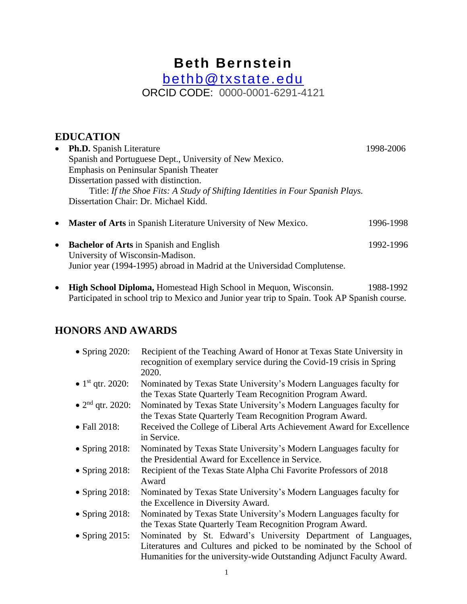# **Beth Bernstein** [bethb@txstate.edu](mailto:bethb@txstate.edu) ORCID CODE: 0000-0001-6291-4121

# **EDUCATION**

| $\bullet$ | <b>Ph.D.</b> Spanish Literature                                                | 1998-2006 |
|-----------|--------------------------------------------------------------------------------|-----------|
|           | Spanish and Portuguese Dept., University of New Mexico.                        |           |
|           | <b>Emphasis on Peninsular Spanish Theater</b>                                  |           |
|           | Dissertation passed with distinction.                                          |           |
|           | Title: If the Shoe Fits: A Study of Shifting Identities in Four Spanish Plays. |           |
|           | Dissertation Chair: Dr. Michael Kidd.                                          |           |
| $\bullet$ | <b>Master of Arts</b> in Spanish Literature University of New Mexico.          | 1996-1998 |

- **Bachelor of Arts** in Spanish and English 1992-1996 University of Wisconsin-Madison. Junior year (1994-1995) abroad in Madrid at the Universidad Complutense.
- **High School Diploma,** Homestead High School in Mequon, Wisconsin. 1988-1992 Participated in school trip to Mexico and Junior year trip to Spain. Took AP Spanish course.

# **HONORS AND AWARDS**

| $\bullet$ Spring 2020:       | Recipient of the Teaching Award of Honor at Texas State University in<br>recognition of exemplary service during the Covid-19 crisis in Spring<br>2020. |
|------------------------------|---------------------------------------------------------------------------------------------------------------------------------------------------------|
| • 1 <sup>st</sup> qtr. 2020: | Nominated by Texas State University's Modern Languages faculty for<br>the Texas State Quarterly Team Recognition Program Award.                         |
| • $2nd$ qtr. 2020:           | Nominated by Texas State University's Modern Languages faculty for<br>the Texas State Quarterly Team Recognition Program Award.                         |
| • Fall 2018:                 | Received the College of Liberal Arts Achievement Award for Excellence<br>in Service.                                                                    |
| • Spring $2018$ :            | Nominated by Texas State University's Modern Languages faculty for<br>the Presidential Award for Excellence in Service.                                 |
| • Spring $2018$ :            | Recipient of the Texas State Alpha Chi Favorite Professors of 2018<br>Award                                                                             |
| • Spring $2018$ :            | Nominated by Texas State University's Modern Languages faculty for<br>the Excellence in Diversity Award.                                                |
| • Spring $2018$ :            | Nominated by Texas State University's Modern Languages faculty for<br>the Texas State Quarterly Team Recognition Program Award.                         |
| • Spring $2015$ :            | Nominated by St. Edward's University Department of Languages,<br>Literatures and Cultures and picked to be nominated by the School of                   |
|                              | Humanities for the university-wide Outstanding Adjunct Faculty Award.                                                                                   |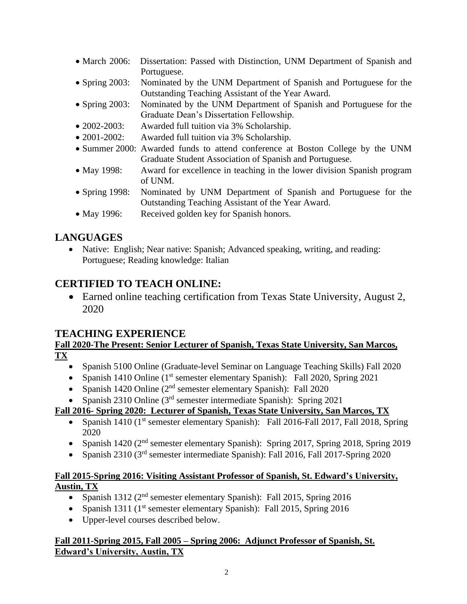- March 2006: Dissertation: Passed with Distinction, UNM Department of Spanish and Portuguese.
- Spring 2003: Nominated by the UNM Department of Spanish and Portuguese for the Outstanding Teaching Assistant of the Year Award.
- Spring 2003: Nominated by the UNM Department of Spanish and Portuguese for the Graduate Dean's Dissertation Fellowship.
- 2002-2003: Awarded full tuition via 3% Scholarship.
- 2001-2002: Awarded full tuition via 3% Scholarship.
- Summer 2000: Awarded funds to attend conference at Boston College by the UNM Graduate Student Association of Spanish and Portuguese.
- May 1998: Award for excellence in teaching in the lower division Spanish program of UNM.
- Spring 1998: Nominated by UNM Department of Spanish and Portuguese for the Outstanding Teaching Assistant of the Year Award.
- May 1996: Received golden key for Spanish honors.

# **LANGUAGES**

• Native: English; Near native: Spanish; Advanced speaking, writing, and reading: Portuguese; Reading knowledge: Italian

# **CERTIFIED TO TEACH ONLINE:**

• Earned online teaching certification from Texas State University, August 2, 2020

# **TEACHING EXPERIENCE**

### **Fall 2020-The Present: Senior Lecturer of Spanish, Texas State University, San Marcos, TX**

- Spanish 5100 Online (Graduate-level Seminar on Language Teaching Skills) Fall 2020
- Spanish 1410 Online (1<sup>st</sup> semester elementary Spanish): Fall 2020, Spring 2021
- Spanish 1420 Online  $(2^{nd}$  semester elementary Spanish): Fall 2020
- Spanish 2310 Online  $(3<sup>rd</sup>$  semester intermediate Spanish): Spring 2021

### **Fall 2016- Spring 2020: Lecturer of Spanish, Texas State University, San Marcos, TX**

- Spanish 1410 ( $1<sup>st</sup>$  semester elementary Spanish): Fall 2016-Fall 2017, Fall 2018, Spring 2020
- Spanish 1420 (2<sup>nd</sup> semester elementary Spanish): Spring 2017, Spring 2018, Spring 2019
- Spanish 2310 ( $3<sup>rd</sup>$  semester intermediate Spanish): Fall 2016, Fall 2017-Spring 2020

#### **Fall 2015-Spring 2016: Visiting Assistant Professor of Spanish, St. Edward's University, Austin, TX**

- Spanish 1312 ( $2<sup>nd</sup>$  semester elementary Spanish): Fall 2015, Spring 2016
- Spanish 1311 ( $1<sup>st</sup>$  semester elementary Spanish): Fall 2015, Spring 2016
- Upper-level courses described below.

#### **Fall 2011-Spring 2015, Fall 2005 – Spring 2006: Adjunct Professor of Spanish, St. Edward's University, Austin, TX**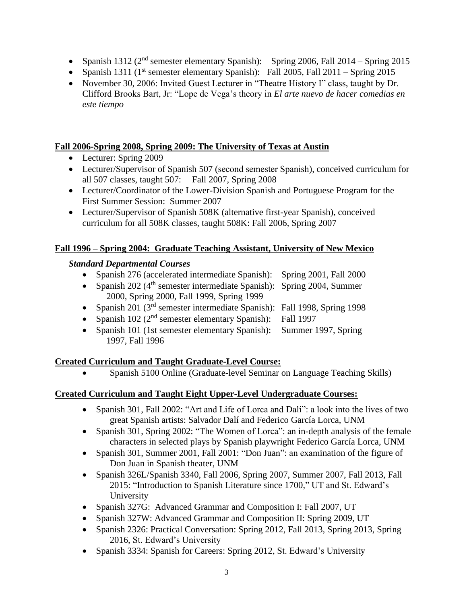- Spanish 1312 ( $2<sup>nd</sup>$  semester elementary Spanish): Spring 2006, Fall 2014 Spring 2015
- Spanish 1311 ( $1<sup>st</sup>$  semester elementary Spanish): Fall 2005, Fall 2011 Spring 2015
- November 30, 2006: Invited Guest Lecturer in "Theatre History I" class, taught by Dr. Clifford Brooks Bart, Jr: "Lope de Vega's theory in *El arte nuevo de hacer comedias en este tiempo*

#### **Fall 2006-Spring 2008, Spring 2009: The University of Texas at Austin**

- Lecturer: Spring 2009
- Lecturer/Supervisor of Spanish 507 (second semester Spanish), conceived curriculum for all 507 classes, taught 507: Fall 2007, Spring 2008
- Lecturer/Coordinator of the Lower-Division Spanish and Portuguese Program for the First Summer Session: Summer 2007
- Lecturer/Supervisor of Spanish 508K (alternative first-year Spanish), conceived curriculum for all 508K classes, taught 508K: Fall 2006, Spring 2007

#### **Fall 1996 – Spring 2004: Graduate Teaching Assistant, University of New Mexico**

#### *Standard Departmental Courses*

- Spanish 276 (accelerated intermediate Spanish): Spring 2001, Fall 2000
- Spanish 202 ( $4<sup>th</sup>$  semester intermediate Spanish): Spring 2004, Summer
- 2000, Spring 2000, Fall 1999, Spring 1999
- Spanish 201 (3<sup>rd</sup> semester intermediate Spanish): Fall 1998, Spring 1998
- Spanish 102 ( $2<sup>nd</sup>$  semester elementary Spanish): Fall 1997
- Spanish 101 (1st semester elementary Spanish): Summer 1997, Spring 1997, Fall 1996

#### **Created Curriculum and Taught Graduate-Level Course:**

• Spanish 5100 Online (Graduate-level Seminar on Language Teaching Skills)

#### **Created Curriculum and Taught Eight Upper-Level Undergraduate Courses:**

- Spanish 301, Fall 2002: "Art and Life of Lorca and Dalí": a look into the lives of two great Spanish artists: Salvador Dalí and Federico García Lorca, UNM
- Spanish 301, Spring 2002: "The Women of Lorca": an in-depth analysis of the female characters in selected plays by Spanish playwright Federico García Lorca, UNM
- Spanish 301, Summer 2001, Fall 2001: "Don Juan": an examination of the figure of Don Juan in Spanish theater, UNM
- Spanish 326L/Spanish 3340, Fall 2006, Spring 2007, Summer 2007, Fall 2013, Fall 2015: "Introduction to Spanish Literature since 1700," UT and St. Edward's University
- Spanish 327G: Advanced Grammar and Composition I: Fall 2007, UT
- Spanish 327W: Advanced Grammar and Composition II: Spring 2009, UT
- Spanish 2326: Practical Conversation: Spring 2012, Fall 2013, Spring 2013, Spring 2016, St. Edward's University
- Spanish 3334: Spanish for Careers: Spring 2012, St. Edward's University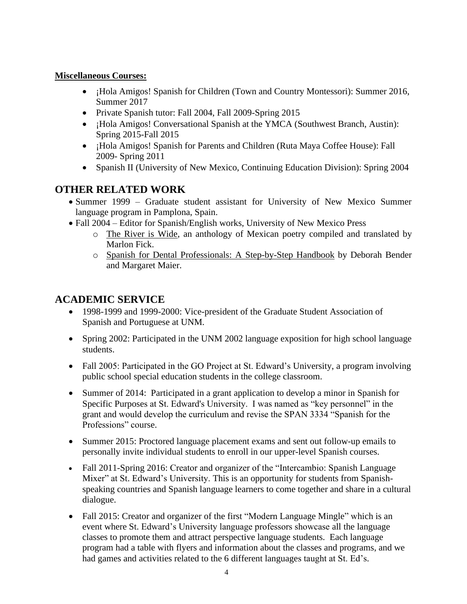### **Miscellaneous Courses:**

- ¡Hola Amigos! Spanish for Children (Town and Country Montessori): Summer 2016, Summer 2017
- Private Spanish tutor: Fall 2004, Fall 2009-Spring 2015
- ¡Hola Amigos! Conversational Spanish at the YMCA (Southwest Branch, Austin): Spring 2015-Fall 2015
- ¡Hola Amigos! Spanish for Parents and Children (Ruta Maya Coffee House): Fall 2009- Spring 2011
- Spanish II (University of New Mexico, Continuing Education Division): Spring 2004

# **OTHER RELATED WORK**

- Summer 1999 Graduate student assistant for University of New Mexico Summer language program in Pamplona, Spain.
- Fall 2004 Editor for Spanish/English works, University of New Mexico Press
	- o The River is Wide, an anthology of Mexican poetry compiled and translated by Marlon Fick.
	- o Spanish for Dental Professionals: A Step-by-Step Handbook by Deborah Bender and Margaret Maier.

# **ACADEMIC SERVICE**

- 1998-1999 and 1999-2000: Vice-president of the Graduate Student Association of Spanish and Portuguese at UNM.
- Spring 2002: Participated in the UNM 2002 language exposition for high school language students.
- Fall 2005: Participated in the GO Project at St. Edward's University, a program involving public school special education students in the college classroom.
- Summer of 2014: Participated in a grant application to develop a minor in Spanish for Specific Purposes at St. Edward's University. I was named as "key personnel" in the grant and would develop the curriculum and revise the SPAN 3334 "Spanish for the Professions" course.
- Summer 2015: Proctored language placement exams and sent out follow-up emails to personally invite individual students to enroll in our upper-level Spanish courses.
- Fall 2011-Spring 2016: Creator and organizer of the "Intercambio: Spanish Language Mixer" at St. Edward's University. This is an opportunity for students from Spanishspeaking countries and Spanish language learners to come together and share in a cultural dialogue.
- Fall 2015: Creator and organizer of the first "Modern Language Mingle" which is an event where St. Edward's University language professors showcase all the language classes to promote them and attract perspective language students. Each language program had a table with flyers and information about the classes and programs, and we had games and activities related to the 6 different languages taught at St. Ed's.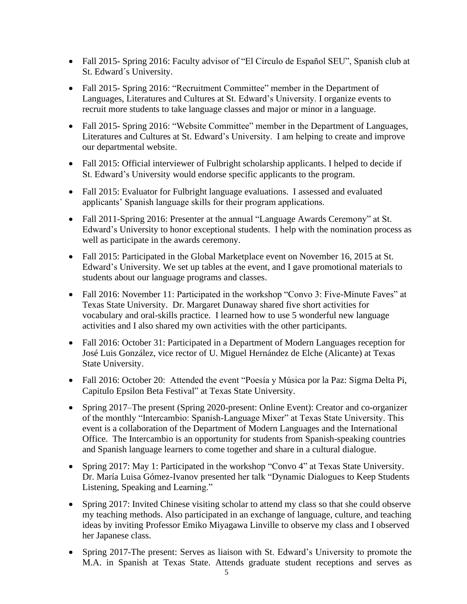- Fall 2015- Spring 2016: Faculty advisor of "El Círculo de Español SEU", Spanish club at St. Edward´s University.
- Fall 2015- Spring 2016: "Recruitment Committee" member in the Department of Languages, Literatures and Cultures at St. Edward's University. I organize events to recruit more students to take language classes and major or minor in a language.
- Fall 2015- Spring 2016: "Website Committee" member in the Department of Languages, Literatures and Cultures at St. Edward's University. I am helping to create and improve our departmental website.
- Fall 2015: Official interviewer of Fulbright scholarship applicants. I helped to decide if St. Edward's University would endorse specific applicants to the program.
- Fall 2015: Evaluator for Fulbright language evaluations. I assessed and evaluated applicants' Spanish language skills for their program applications.
- Fall 2011-Spring 2016: Presenter at the annual "Language Awards Ceremony" at St. Edward's University to honor exceptional students. I help with the nomination process as well as participate in the awards ceremony.
- Fall 2015: Participated in the Global Marketplace event on November 16, 2015 at St. Edward's University. We set up tables at the event, and I gave promotional materials to students about our language programs and classes.
- Fall 2016: November 11: Participated in the workshop "Convo 3: Five-Minute Faves" at Texas State University. Dr. Margaret Dunaway shared five short activities for vocabulary and oral-skills practice. I learned how to use 5 wonderful new language activities and I also shared my own activities with the other participants.
- Fall 2016: October 31: Participated in a Department of Modern Languages reception for José Luis González, vice rector of U. Miguel Hernández de Elche (Alicante) at Texas State University.
- Fall 2016: October 20: Attended the event "Poesía y Música por la Paz: Sigma Delta Pi, Capitulo Epsilon Beta Festival" at Texas State University.
- Spring 2017–The present (Spring 2020-present: Online Event): Creator and co-organizer of the monthly "Intercambio: Spanish-Language Mixer" at Texas State University. This event is a collaboration of the Department of Modern Languages and the International Office. The Intercambio is an opportunity for students from Spanish-speaking countries and Spanish language learners to come together and share in a cultural dialogue.
- Spring 2017: May 1: Participated in the workshop "Convo 4" at Texas State University. Dr. María Luisa Gómez-Ivanov presented her talk "Dynamic Dialogues to Keep Students Listening, Speaking and Learning."
- Spring 2017: Invited Chinese visiting scholar to attend my class so that she could observe my teaching methods. Also participated in an exchange of language, culture, and teaching ideas by inviting Professor Emiko Miyagawa Linville to observe my class and I observed her Japanese class.
- Spring 2017-The present: Serves as liaison with St. Edward's University to promote the M.A. in Spanish at Texas State. Attends graduate student receptions and serves as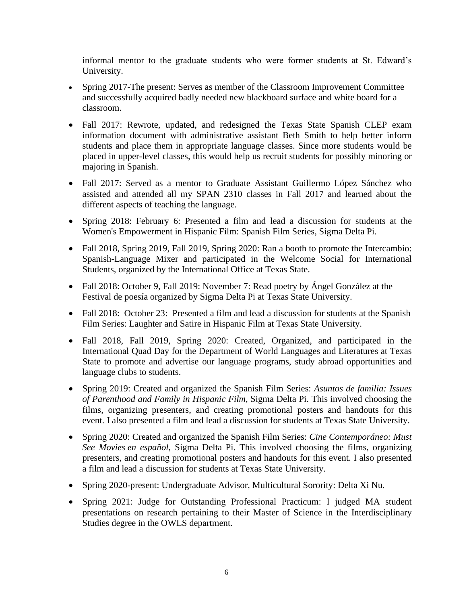informal mentor to the graduate students who were former students at St. Edward's University.

- Spring 2017-The present: Serves as member of the Classroom Improvement Committee and successfully acquired badly needed new blackboard surface and white board for a classroom.
- Fall 2017: Rewrote, updated, and redesigned the Texas State Spanish CLEP exam information document with administrative assistant Beth Smith to help better inform students and place them in appropriate language classes. Since more students would be placed in upper-level classes, this would help us recruit students for possibly minoring or majoring in Spanish.
- Fall 2017: Served as a mentor to Graduate Assistant Guillermo López Sánchez who assisted and attended all my SPAN 2310 classes in Fall 2017 and learned about the different aspects of teaching the language.
- Spring 2018: February 6: Presented a film and lead a discussion for students at the Women's Empowerment in Hispanic Film: Spanish Film Series, Sigma Delta Pi.
- Fall 2018, Spring 2019, Fall 2019, Spring 2020: Ran a booth to promote the Intercambio: Spanish-Language Mixer and participated in the Welcome Social for International Students, organized by the International Office at Texas State.
- Fall 2018: October 9, Fall 2019: November 7: Read poetry by Ángel González at the Festival de poesía organized by Sigma Delta Pi at Texas State University.
- Fall 2018: October 23: Presented a film and lead a discussion for students at the Spanish Film Series: Laughter and Satire in Hispanic Film at Texas State University.
- Fall 2018, Fall 2019, Spring 2020: Created, Organized, and participated in the International Quad Day for the Department of World Languages and Literatures at Texas State to promote and advertise our language programs, study abroad opportunities and language clubs to students.
- Spring 2019: Created and organized the Spanish Film Series: *Asuntos de familia: Issues of Parenthood and Family in Hispanic Film*, Sigma Delta Pi. This involved choosing the films, organizing presenters, and creating promotional posters and handouts for this event. I also presented a film and lead a discussion for students at Texas State University.
- Spring 2020: Created and organized the Spanish Film Series: *Cine Contemporáneo: Must See Movies en español*, Sigma Delta Pi. This involved choosing the films, organizing presenters, and creating promotional posters and handouts for this event. I also presented a film and lead a discussion for students at Texas State University.
- Spring 2020-present: Undergraduate Advisor, Multicultural Sorority: Delta Xi Nu.
- Spring 2021: Judge for Outstanding Professional Practicum: I judged MA student presentations on research pertaining to their Master of Science in the Interdisciplinary Studies degree in the OWLS department.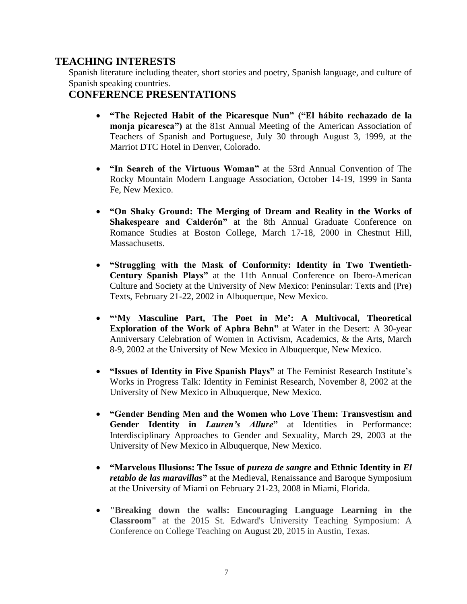# **TEACHING INTERESTS**

Spanish literature including theater, short stories and poetry, Spanish language, and culture of Spanish speaking countries.

# **CONFERENCE PRESENTATIONS**

- **"The Rejected Habit of the Picaresque Nun" ("El hábito rechazado de la monja picaresca")** at the 81st Annual Meeting of the American Association of Teachers of Spanish and Portuguese, July 30 through August 3, 1999, at the Marriot DTC Hotel in Denver, Colorado.
- **"In Search of the Virtuous Woman"** at the 53rd Annual Convention of The Rocky Mountain Modern Language Association, October 14-19, 1999 in Santa Fe, New Mexico.
- **"On Shaky Ground: The Merging of Dream and Reality in the Works of Shakespeare and Calderón"** at the 8th Annual Graduate Conference on Romance Studies at Boston College, March 17-18, 2000 in Chestnut Hill, Massachusetts.
- **"Struggling with the Mask of Conformity: Identity in Two Twentieth-Century Spanish Plays"** at the 11th Annual Conference on Ibero-American Culture and Society at the University of New Mexico: Peninsular: Texts and (Pre) Texts, February 21-22, 2002 in Albuquerque, New Mexico.
- **"'My Masculine Part, The Poet in Me': A Multivocal, Theoretical Exploration of the Work of Aphra Behn"** at Water in the Desert: A 30-year Anniversary Celebration of Women in Activism, Academics, & the Arts, March 8-9, 2002 at the University of New Mexico in Albuquerque, New Mexico.
- **"Issues of Identity in Five Spanish Plays"** at The Feminist Research Institute's Works in Progress Talk: Identity in Feminist Research, November 8, 2002 at the University of New Mexico in Albuquerque, New Mexico.
- **"Gender Bending Men and the Women who Love Them: Transvestism and Gender Identity in** *Lauren's Allure***"** at Identities in Performance: Interdisciplinary Approaches to Gender and Sexuality, March 29, 2003 at the University of New Mexico in Albuquerque, New Mexico.
- **"Marvelous Illusions: The Issue of** *pureza de sangre* **and Ethnic Identity in** *El retablo de las maravillas*" at the Medieval, Renaissance and Baroque Symposium at the University of Miami on February 21-23, 2008 in Miami, Florida.
- **"Breaking down the walls: Encouraging Language Learning in the Classroom"** at the 2015 St. Edward's University Teaching Symposium: A Conference on College Teaching on August 20, 2015 in Austin, Texas.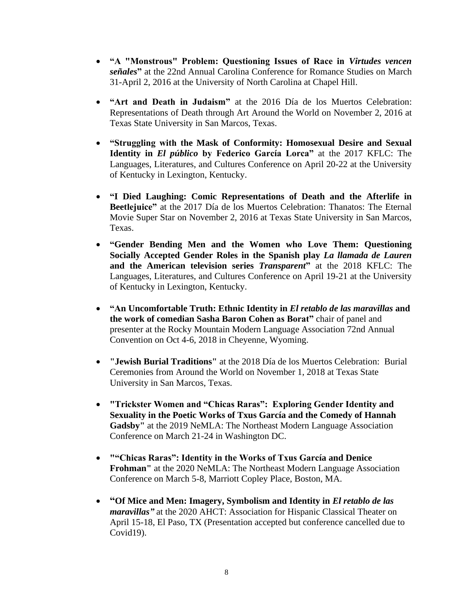- **"A "Monstrous" Problem: Questioning Issues of Race in** *Virtudes vencen señales***"** at the 22nd Annual Carolina Conference for Romance Studies on March 31-April 2, 2016 at the University of North Carolina at Chapel Hill.
- **"Art and Death in Judaism"** at the 2016 Día de los Muertos Celebration: Representations of Death through Art Around the World on November 2, 2016 at Texas State University in San Marcos, Texas.
- **"Struggling with the Mask of Conformity: Homosexual Desire and Sexual Identity in** *El público* **by Federico García Lorca"** at the 2017 KFLC: The Languages, Literatures, and Cultures Conference on April 20-22 at the University of Kentucky in Lexington, Kentucky.
- **"I Died Laughing: Comic Representations of Death and the Afterlife in Beetlejuice"** at the 2017 Día de los Muertos Celebration: Thanatos: The Eternal Movie Super Star on November 2, 2016 at Texas State University in San Marcos, Texas.
- **"Gender Bending Men and the Women who Love Them: Questioning Socially Accepted Gender Roles in the Spanish play** *La llamada de Lauren* **and the American television series** *Transparent***"** at the 2018 KFLC: The Languages, Literatures, and Cultures Conference on April 19-21 at the University of Kentucky in Lexington, Kentucky.
- **"An Uncomfortable Truth: Ethnic Identity in** *El retablo de las maravillas* **and the work of comedian Sasha Baron Cohen as Borat"** chair of panel and presenter at the Rocky Mountain Modern Language Association 72nd Annual Convention on Oct 4-6, 2018 in Cheyenne, Wyoming.
- **"Jewish Burial Traditions"** at the 2018 Día de los Muertos Celebration: Burial Ceremonies from Around the World on November 1, 2018 at Texas State University in San Marcos, Texas.
- **"Trickster Women and "Chicas Raras": Exploring Gender Identity and Sexuality in the Poetic Works of Txus García and the Comedy of Hannah Gadsby"** at the 2019 NeMLA: The Northeast Modern Language Association Conference on March 21-24 in Washington DC.
- **""Chicas Raras": Identity in the Works of Txus García and Denice Frohman"** at the 2020 NeMLA: The Northeast Modern Language Association Conference on March 5-8, Marriott Copley Place, Boston, MA.
- **"Of Mice and Men: Imagery, Symbolism and Identity in** *El retablo de las maravillas"* at the 2020 AHCT: Association for Hispanic Classical Theater on April 15-18, El Paso, TX (Presentation accepted but conference cancelled due to Covid19).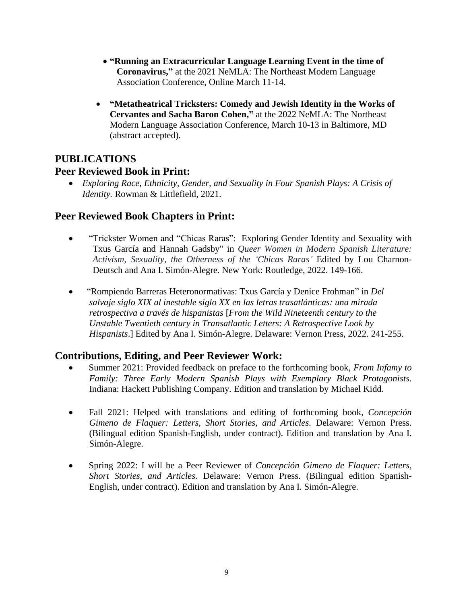- **"Running an Extracurricular Language Learning Event in the time of Coronavirus,"** at the 2021 NeMLA: The Northeast Modern Language Association Conference, Online March 11-14.
- **"Metatheatrical Tricksters: Comedy and Jewish Identity in the Works of Cervantes and Sacha Baron Cohen,"** at the 2022 NeMLA: The Northeast Modern Language Association Conference, March 10-13 in Baltimore, MD (abstract accepted).

## **PUBLICATIONS**

### **Peer Reviewed Book in Print:**

• *Exploring Race, Ethnicity, Gender, and Sexuality in Four Spanish Plays: A Crisis of Identity.* Rowman & Littlefield, 2021.

### **Peer Reviewed Book Chapters in Print:**

- "Trickster Women and "Chicas Raras": Exploring Gender Identity and Sexuality with Txus García and Hannah Gadsby" in *Queer Women in Modern Spanish Literature: Activism, Sexuality, the Otherness of the 'Chicas Raras'* Edited by Lou Charnon-Deutsch and Ana I. Simón-Alegre. New York: Routledge, 2022. 149-166.
- "Rompiendo Barreras Heteronormativas: Txus García y Denice Frohman" in *Del salvaje siglo XIX al inestable siglo XX en las letras trasatlánticas: una mirada retrospectiva a través de hispanistas* [*From the Wild Nineteenth century to the Unstable Twentieth century in Transatlantic Letters: A Retrospective Look by Hispanists*.] Edited by Ana I. Simón-Alegre. Delaware: Vernon Press, 2022. 241-255.

# **Contributions, Editing, and Peer Reviewer Work:**

- Summer 2021: Provided feedback on preface to the forthcoming book, *From Infamy to Family: Three Early Modern Spanish Plays with Exemplary Black Protagonists.*  Indiana: Hackett Publishing Company*.* Edition and translation by Michael Kidd.
- Fall 2021: Helped with translations and editing of forthcoming book, *Concepción Gimeno de Flaquer: Letters, Short Stories, and Articles.* Delaware: Vernon Press. (Bilingual edition Spanish-English, under contract). Edition and translation by Ana I. Simón-Alegre.
- Spring 2022: I will be a Peer Reviewer of *Concepción Gimeno de Flaquer: Letters, Short Stories, and Articles.* Delaware: Vernon Press. (Bilingual edition Spanish-English, under contract). Edition and translation by Ana I. Simón-Alegre.